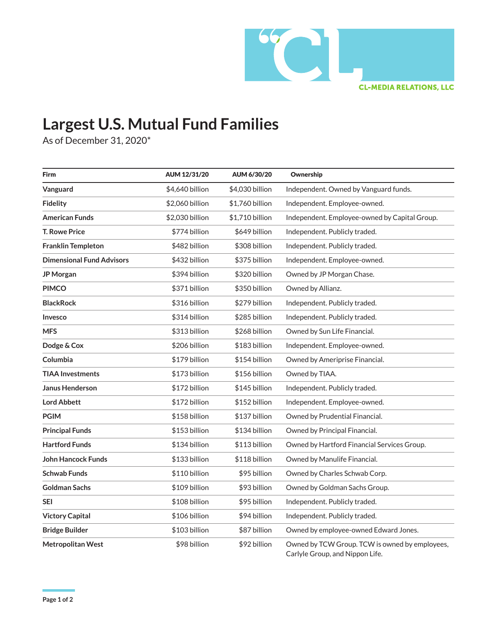

## **Largest U.S. Mutual Fund Families**

As of December 31, 2020\*

| <b>Firm</b>                      | AUM 12/31/20    | AUM 6/30/20     | Ownership                                                                         |
|----------------------------------|-----------------|-----------------|-----------------------------------------------------------------------------------|
| Vanguard                         | \$4,640 billion | \$4,030 billion | Independent. Owned by Vanguard funds.                                             |
| <b>Fidelity</b>                  | \$2,060 billion | \$1,760 billion | Independent. Employee-owned.                                                      |
| <b>American Funds</b>            | \$2,030 billion | \$1,710 billion | Independent. Employee-owned by Capital Group.                                     |
| <b>T. Rowe Price</b>             | \$774 billion   | \$649 billion   | Independent. Publicly traded.                                                     |
| <b>Franklin Templeton</b>        | \$482 billion   | \$308 billion   | Independent. Publicly traded.                                                     |
| <b>Dimensional Fund Advisors</b> | \$432 billion   | \$375 billion   | Independent. Employee-owned.                                                      |
| JP Morgan                        | \$394 billion   | \$320 billion   | Owned by JP Morgan Chase.                                                         |
| <b>PIMCO</b>                     | \$371 billion   | \$350 billion   | Owned by Allianz.                                                                 |
| <b>BlackRock</b>                 | \$316 billion   | \$279 billion   | Independent. Publicly traded.                                                     |
| Invesco                          | \$314 billion   | \$285 billion   | Independent. Publicly traded.                                                     |
| <b>MFS</b>                       | \$313 billion   | \$268 billion   | Owned by Sun Life Financial.                                                      |
| Dodge & Cox                      | \$206 billion   | \$183 billion   | Independent. Employee-owned.                                                      |
| Columbia                         | \$179 billion   | \$154 billion   | Owned by Ameriprise Financial.                                                    |
| <b>TIAA Investments</b>          | \$173 billion   | \$156 billion   | Owned by TIAA.                                                                    |
| <b>Janus Henderson</b>           | \$172 billion   | \$145 billion   | Independent. Publicly traded.                                                     |
| <b>Lord Abbett</b>               | \$172 billion   | \$152 billion   | Independent. Employee-owned.                                                      |
| <b>PGIM</b>                      | \$158 billion   | \$137 billion   | Owned by Prudential Financial.                                                    |
| <b>Principal Funds</b>           | \$153 billion   | \$134 billion   | Owned by Principal Financial.                                                     |
| <b>Hartford Funds</b>            | \$134 billion   | \$113 billion   | Owned by Hartford Financial Services Group.                                       |
| John Hancock Funds               | \$133 billion   | \$118 billion   | Owned by Manulife Financial.                                                      |
| <b>Schwab Funds</b>              | \$110 billion   | \$95 billion    | Owned by Charles Schwab Corp.                                                     |
| Goldman Sachs                    | \$109 billion   | \$93 billion    | Owned by Goldman Sachs Group.                                                     |
| SEI                              | \$108 billion   | \$95 billion    | Independent. Publicly traded.                                                     |
| <b>Victory Capital</b>           | \$106 billion   | \$94 billion    | Independent. Publicly traded.                                                     |
| <b>Bridge Builder</b>            | \$103 billion   | \$87 billion    | Owned by employee-owned Edward Jones.                                             |
| <b>Metropolitan West</b>         | \$98 billion    | \$92 billion    | Owned by TCW Group. TCW is owned by employees,<br>Carlyle Group, and Nippon Life. |